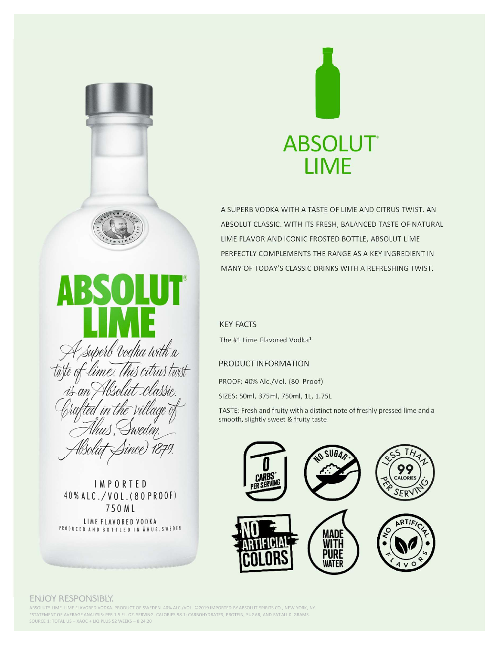



A SUPERB VODKA WITH A TASTE OF LIME AND CITRUS TWIST. AN ABSOLUT CLASSIC. WITH ITS FRESH, BALANCED TASTE OF NATURAL LIME FLAVOR AND ICONIC FROSTED BOTTLE, ABSOLUT LIME PERFECTLY COMPLEMENTS THE RANGE AS A KEY INGREDIENT IN MANY OF TODAY'S CLASSIC DRINKS WITH A REFRESHING TWIST. **ABSOLUT**<br> **LIME**<br>
A SUPERB VODKA WITH A TASTE OF LIME AND CITRUS TWIST. AN<br>
ABSOLUT CLASSIC. WITH ITS FRESH, BALANCED TASTE OF NATURAL<br>
LIME FLAVOR AND ICONIC FROSTED BOTTLE, ABSOLUT LIME<br>
PERFECTLY COMPLEMENTS THE RANGE A SUPERB VODKA WITH A TASTE OF LIME AND CITRUS TWIST. AN<br>ABSOLUT CLASSIC. WITH ITS FRESH, BALANCED TASTE OF NATURAL<br>LIME FLAVOR AND ICONIC FROSTED BOTTLE, ABSOLUT LIME<br>PERFECTLY COMPLEMENTS THE RANGE AS A KEY INGREDIENT IN

The #1 Lime Flavored Vodka<sup>1</sup>

# PRODUCT INFORMATION

SIZES: 50ml, 375ml, 750ml, 1L, 1.75L

TASTE: Fresh and fruity with a distinct note of freshly pressed lime and a smooth, slightly sweet & fruity taste



A superb vodka with a